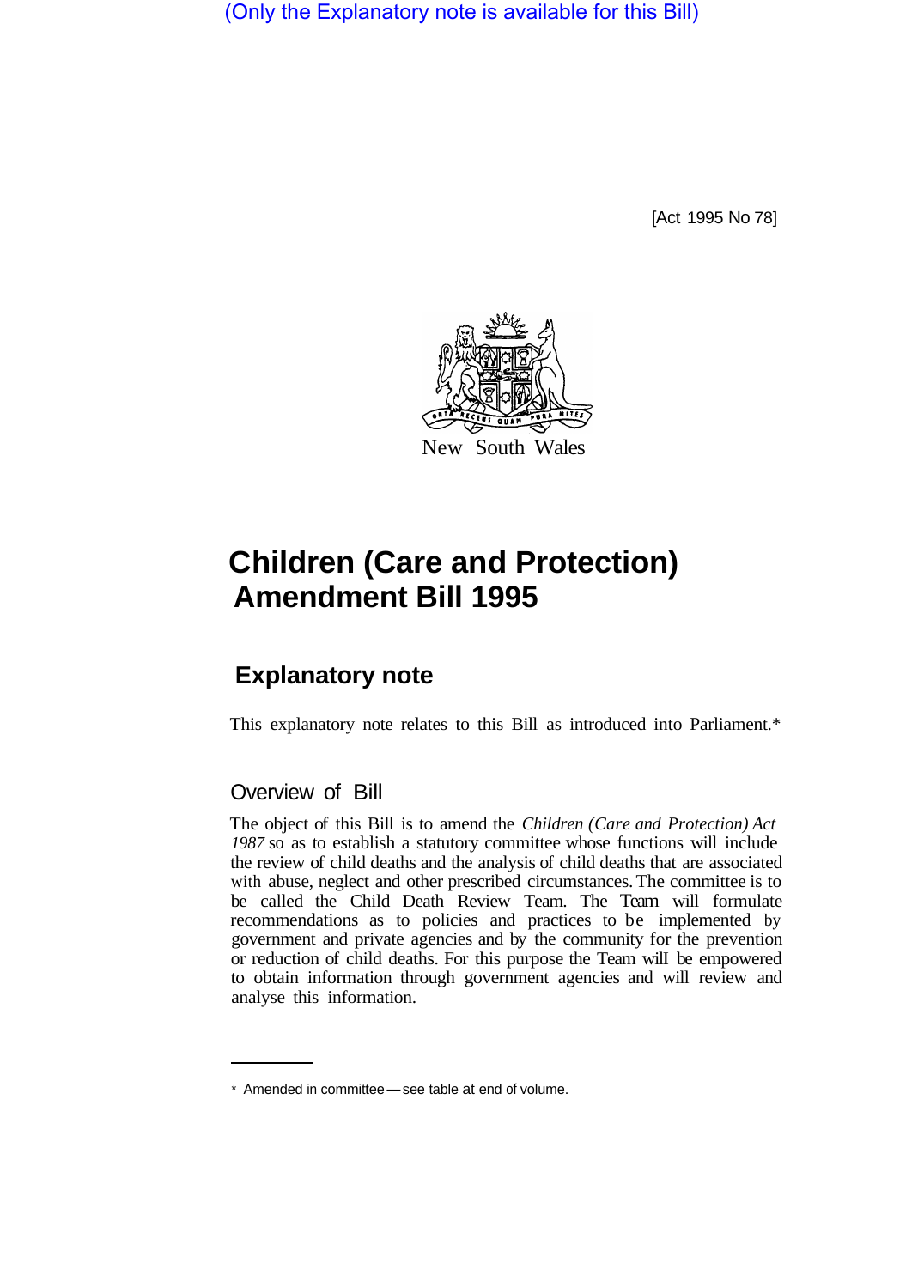(Only the Explanatory note is available for this Bill)

[Act 1995 No 78]



# **Children (Care and Protection) Amendment Bill 1995**

# **Explanatory note**

This explanatory note relates to this Bill as introduced into Parliament.\*

#### Overview of Bill

The object of this Bill is to amend the *Children (Care and Protection) Act 1987* so as to establish a statutory committee whose functions will include the review of child deaths and the analysis of child deaths that are associated with abuse, neglect and other prescribed circumstances. The committee is to be called the Child Death Review Team. The Team will formulate recommendations as to policies and practices to be implemented by government and private agencies and by the community for the prevention or reduction of child deaths. For this purpose the Team wilI be empowered to obtain information through government agencies and will review and analyse this information.

<sup>\*</sup> Amended in committee - see table at end of volume.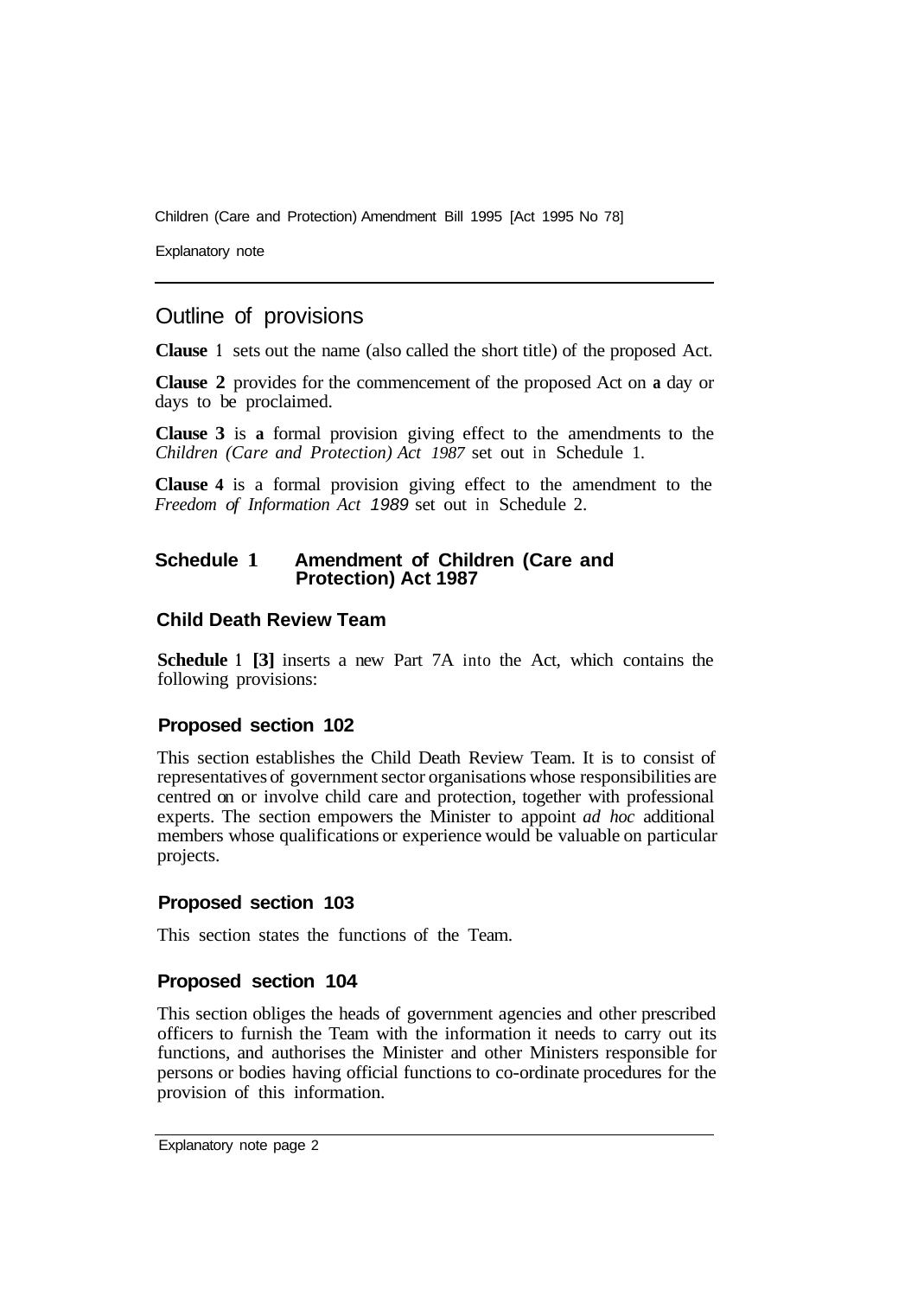Children (Care and Protection) Amendment Bill 1995 [Act 1995 No 78]

Explanatory note

# Outline of provisions

**Clause 1** sets out the name (also called the short title) of the proposed Act.

**Clause 2** provides for the commencement of the proposed Act on **a** day or days to be proclaimed.

**Clause 3** is **a** formal provision giving effect to the amendments to the *Children (Care and Protection) Act 1987* set out in Schedule 1.

**Clause 4** is a formal provision giving effect to the amendment to the *Freedom of Information Act 1989* set out in Schedule 2.

#### **Schedule 1 Amendment of Children (Care and Protection) Act 1987**

#### **Child Death Review Team**

**Schedule 1 [3]** inserts a new Part 7A into the Act, which contains the following provisions:

#### **Proposed section 102**

This section establishes the Child Death Review Team. It is to consist of representatives of government sector organisations whose responsibilities are centred on or involve child care and protection, together with professional experts. The section empowers the Minister to appoint *ad hoc* additional members whose qualifications or experience would be valuable on particular projects.

#### **Proposed section 103**

This section states the functions of the Team.

#### **Proposed section 104**

This section obliges the heads of government agencies and other prescribed officers to furnish the Team with the information it needs to carry out its functions, and authorises the Minister and other Ministers responsible for persons or bodies having official functions to co-ordinate procedures for the provision of this information.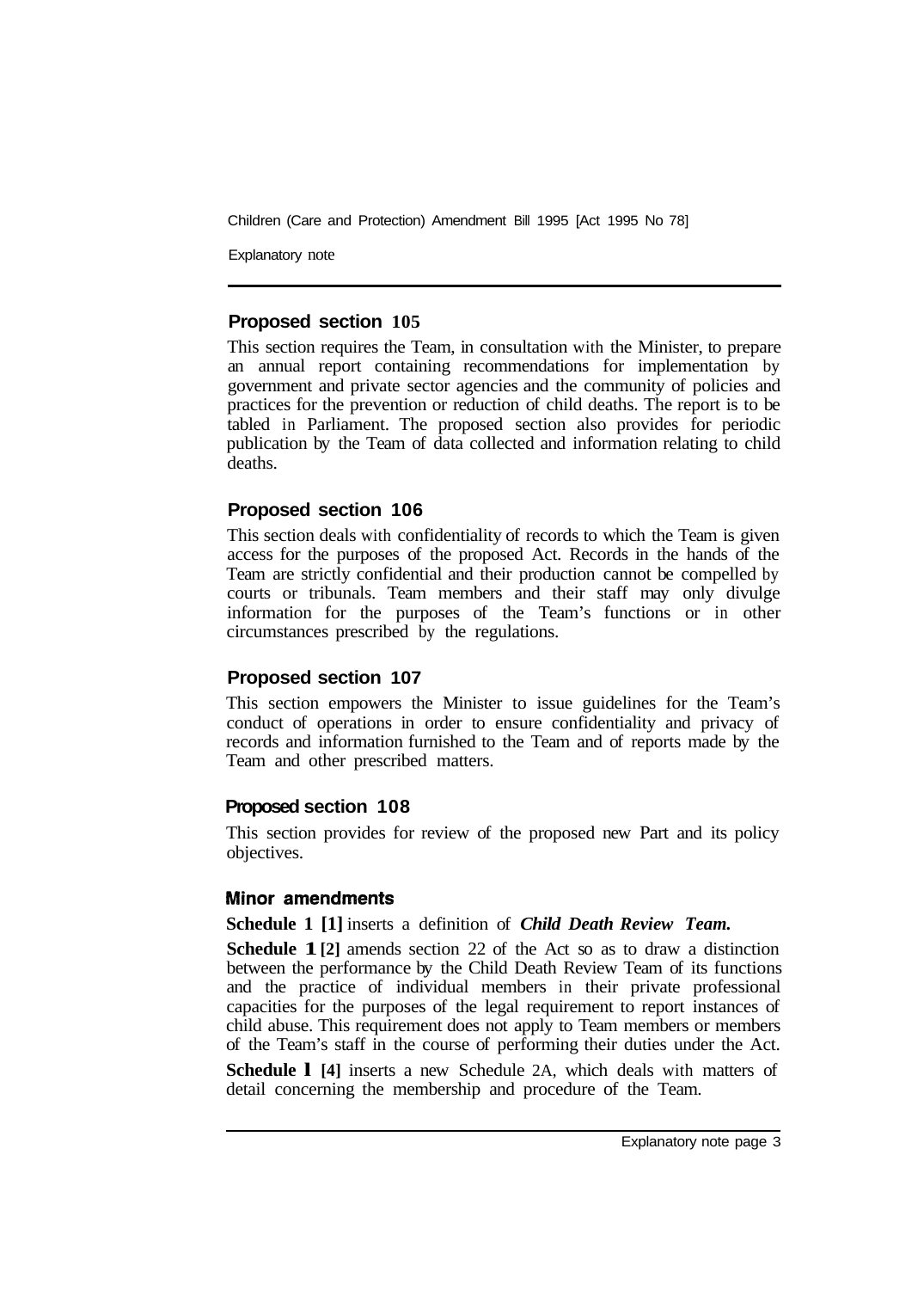Children (Care and Protection) Amendment Bill 1995 [Act 1995 No 78]

Explanatory note

#### **Proposed section 105**

This section requires the Team, in consultation with the Minister, to prepare an annual report containing recommendations for implementation by government and private sector agencies and the community of policies and practices for the prevention or reduction of child deaths. The report is to be tabled in Parliament. The proposed section also provides for periodic publication by the Team of data collected and information relating to child deaths.

### **Proposed section 106**

This section deals with confidentiality of records to which the Team is given access for the purposes of the proposed Act. Records in the hands of the Team are strictly confidential and their production cannot be compelled by courts or tribunals. Team members and their staff may only divulge information for the purposes of the Team's functions or in other circumstances prescribed by the regulations.

#### **Proposed section 107**

This section empowers the Minister to issue guidelines for the Team's conduct of operations in order to ensure confidentiality and privacy of records and information furnished to the Team and of reports made by the Team and other prescribed matters.

#### **Proposed section 108**

This section provides for review of the proposed new Part and its policy objectives.

#### **Minor amendments**

#### **Schedule 1 [1]** inserts a definition of *Child Death Review Team.*

**Schedule 1**[2] amends section 22 of the Act so as to draw a distinction between the performance by the Child Death Review Team of its functions and the practice of individual members in their private professional capacities for the purposes of the legal requirement to report instances of child abuse. This requirement does not apply to Team members or members of the Team's staff in the course of performing their duties under the Act.

**Schedule l [4]** inserts a new Schedule 2A, which deals with matters of detail concerning the membership and procedure of the Team.